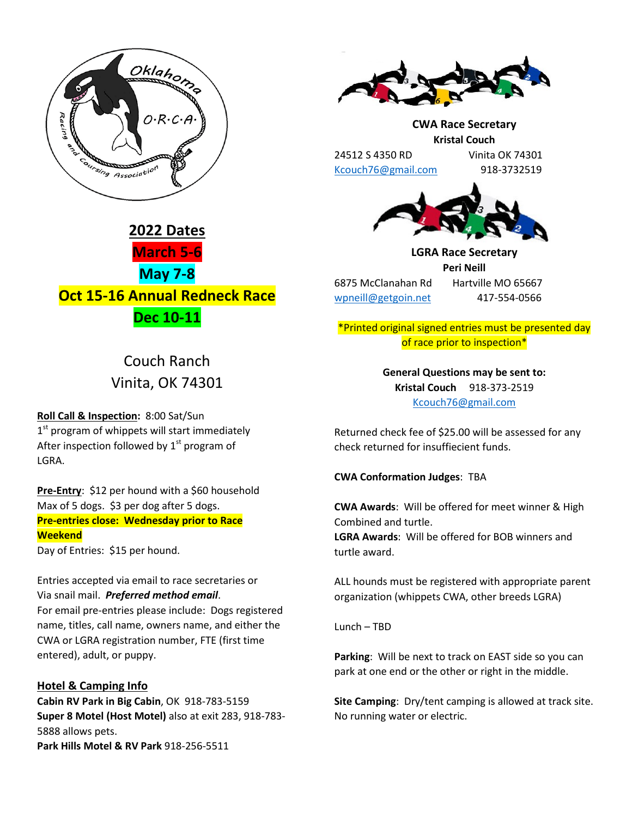



# Couch Ranch Vinita, OK 74301

**Roll Call & Inspection:** 8:00 Sat/Sun  $1<sup>st</sup>$  program of whippets will start immediately After inspection followed by  $1<sup>st</sup>$  program of LGRA.

**Pre-Entry**: \$12 per hound with a \$60 household Max of 5 dogs. \$3 per dog after 5 dogs. **Pre-entries close: Wednesday prior to Race Weekend** Day of Entries: \$15 per hound.

Entries accepted via email to race secretaries or Via snail mail. *Preferred method email*. For email pre-entries please include: Dogs registered name, titles, call name, owners name, and either the CWA or LGRA registration number, FTE (first time entered), adult, or puppy.

## **Hotel & Camping Info**

**Cabin RV Park in Big Cabin**, OK 918-783-5159 **Super 8 Motel (Host Motel)** also at exit 283, 918-783- 5888 allows pets. **Park Hills Motel & RV Park** 918-256-5511



**CWA Race Secretary Kristal Couch** 24512 S 4350 RD Vinita OK 74301

[Kcouch76@gmail.com](mailto:Kcouch76@gmail.com) 918-3732519



**LGRA Race Secretary Peri Neill** 6875 McClanahan Rd Hartville MO 65667 [wpneill@getgoin.net](mailto:wpneill@getgoin.net) 417-554-0566

\*Printed original signed entries must be presented day of race prior to inspection\*

> **General Questions may be sent to: Kristal Couch** 918-373-2519 [Kcouch76@gmail.com](mailto:Kcouch76@gmail.com)

Returned check fee of \$25.00 will be assessed for any check returned for insuffiecient funds.

**CWA Conformation Judges**: TBA

**CWA Awards**: Will be offered for meet winner & High Combined and turtle.

**LGRA Awards**: Will be offered for BOB winners and turtle award.

ALL hounds must be registered with appropriate parent organization (whippets CWA, other breeds LGRA)

Lunch – TBD

**Parking**: Will be next to track on EAST side so you can park at one end or the other or right in the middle.

**Site Camping**: Dry/tent camping is allowed at track site. No running water or electric.